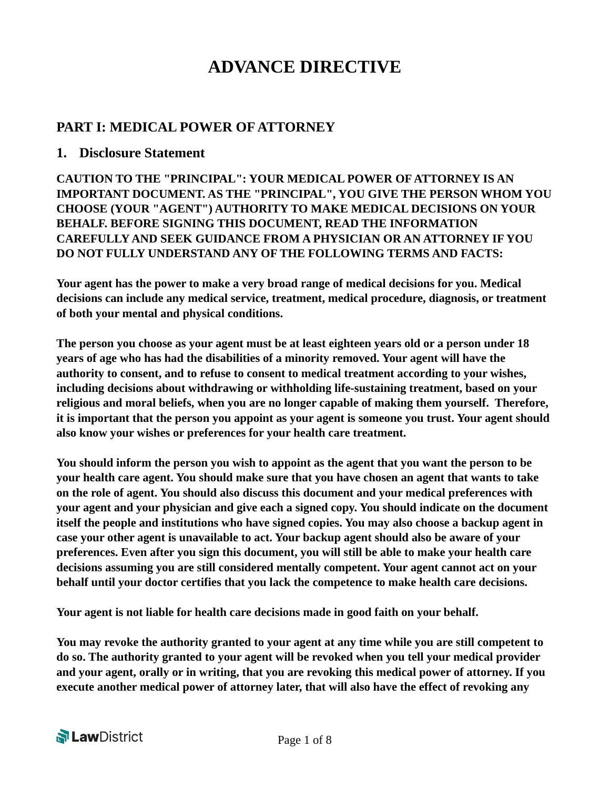# **ADVANCE DIRECTIVE**

# **PART I: MEDICAL POWER OF ATTORNEY**

#### **1. Disclosure Statement**

**CAUTION TO THE "PRINCIPAL": YOUR MEDICAL POWER OF ATTORNEY IS AN IMPORTANT DOCUMENT. AS THE "PRINCIPAL", YOU GIVE THE PERSON WHOM YOU CHOOSE (YOUR "AGENT") AUTHORITY TO MAKE MEDICAL DECISIONS ON YOUR BEHALF. BEFORE SIGNING THIS DOCUMENT, READ THE INFORMATION CAREFULLY AND SEEK GUIDANCE FROM A PHYSICIAN OR AN ATTORNEY IF YOU DO NOT FULLY UNDERSTAND ANY OF THE FOLLOWING TERMS AND FACTS:** 

**Your agent has the power to make a very broad range of medical decisions for you. Medical decisions can include any medical service, treatment, medical procedure, diagnosis, or treatment of both your mental and physical conditions.** 

**The person you choose as your agent must be at least eighteen years old or a person under 18 years of age who has had the disabilities of a minority removed. Your agent will have the authority to consent, and to refuse to consent to medical treatment according to your wishes, including decisions about withdrawing or withholding life-sustaining treatment, based on your religious and moral beliefs, when you are no longer capable of making them yourself. Therefore, it is important that the person you appoint as your agent is someone you trust. Your agent should also know your wishes or preferences for your health care treatment.**

**You should inform the person you wish to appoint as the agent that you want the person to be your health care agent. You should make sure that you have chosen an agent that wants to take on the role of agent. You should also discuss this document and your medical preferences with your agent and your physician and give each a signed copy. You should indicate on the document itself the people and institutions who have signed copies. You may also choose a backup agent in case your other agent is unavailable to act. Your backup agent should also be aware of your preferences. Even after you sign this document, you will still be able to make your health care decisions assuming you are still considered mentally competent. Your agent cannot act on your behalf until your doctor certifies that you lack the competence to make health care decisions.**

**Your agent is not liable for health care decisions made in good faith on your behalf.** 

**You may revoke the authority granted to your agent at any time while you are still competent to do so. The authority granted to your agent will be revoked when you tell your medical provider and your agent, orally or in writing, that you are revoking this medical power of attorney. If you execute another medical power of attorney later, that will also have the effect of revoking any** 

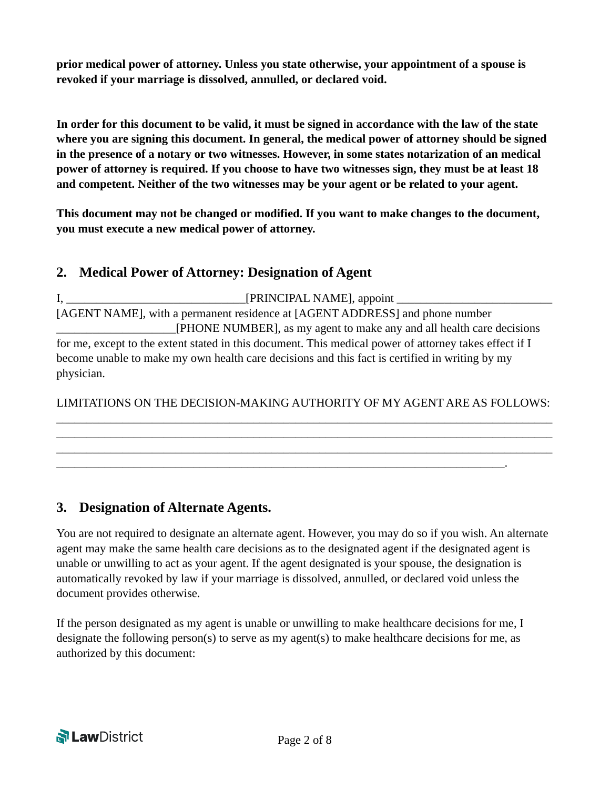**prior medical power of attorney. Unless you state otherwise, your appointment of a spouse is revoked if your marriage is dissolved, annulled, or declared void.** 

**In order for this document to be valid, it must be signed in accordance with the law of the state where you are signing this document. In general, the medical power of attorney should be signed in the presence of a notary or two witnesses. However, in some states notarization of an medical power of attorney is required. If you choose to have two witnesses sign, they must be at least 18 and competent. Neither of the two witnesses may be your agent or be related to your agent.** 

**This document may not be changed or modified. If you want to make changes to the document, you must execute a new medical power of attorney.** 

# **2. Medical Power of Attorney: Designation of Agent**

I, \_\_\_\_\_\_\_\_\_\_\_\_\_\_\_\_\_\_\_\_\_\_\_\_\_\_\_\_\_\_[PRINCIPAL NAME], appoint \_\_\_\_\_\_\_\_\_\_\_\_\_\_\_\_\_\_\_\_\_\_\_\_\_\_ [AGENT NAME], with a permanent residence at [AGENT ADDRESS] and phone number \_\_\_\_\_\_\_\_\_\_\_\_\_\_\_\_\_\_\_\_[PHONE NUMBER], as my agent to make any and all health care decisions for me, except to the extent stated in this document. This medical power of attorney takes effect if I become unable to make my own health care decisions and this fact is certified in writing by my physician.

LIMITATIONS ON THE DECISION-MAKING AUTHORITY OF MY AGENT ARE AS FOLLOWS: \_\_\_\_\_\_\_\_\_\_\_\_\_\_\_\_\_\_\_\_\_\_\_\_\_\_\_\_\_\_\_\_\_\_\_\_\_\_\_\_\_\_\_\_\_\_\_\_\_\_\_\_\_\_\_\_\_\_\_\_\_\_\_\_\_\_\_\_\_\_\_\_\_\_\_\_\_\_\_\_\_\_\_

\_\_\_\_\_\_\_\_\_\_\_\_\_\_\_\_\_\_\_\_\_\_\_\_\_\_\_\_\_\_\_\_\_\_\_\_\_\_\_\_\_\_\_\_\_\_\_\_\_\_\_\_\_\_\_\_\_\_\_\_\_\_\_\_\_\_\_\_\_\_\_\_\_\_\_\_\_\_\_\_\_\_\_ \_\_\_\_\_\_\_\_\_\_\_\_\_\_\_\_\_\_\_\_\_\_\_\_\_\_\_\_\_\_\_\_\_\_\_\_\_\_\_\_\_\_\_\_\_\_\_\_\_\_\_\_\_\_\_\_\_\_\_\_\_\_\_\_\_\_\_\_\_\_\_\_\_\_\_\_\_\_\_\_\_\_\_

\_\_\_\_\_\_\_\_\_\_\_\_\_\_\_\_\_\_\_\_\_\_\_\_\_\_\_\_\_\_\_\_\_\_\_\_\_\_\_\_\_\_\_\_\_\_\_\_\_\_\_\_\_\_\_\_\_\_\_\_\_\_\_\_\_\_\_\_\_\_\_\_\_\_\_.

# **3. Designation of Alternate Agents.**

You are not required to designate an alternate agent. However, you may do so if you wish. An alternate agent may make the same health care decisions as to the designated agent if the designated agent is unable or unwilling to act as your agent. If the agent designated is your spouse, the designation is automatically revoked by law if your marriage is dissolved, annulled, or declared void unless the document provides otherwise.

If the person designated as my agent is unable or unwilling to make healthcare decisions for me, I designate the following person(s) to serve as my agent(s) to make healthcare decisions for me, as authorized by this document:

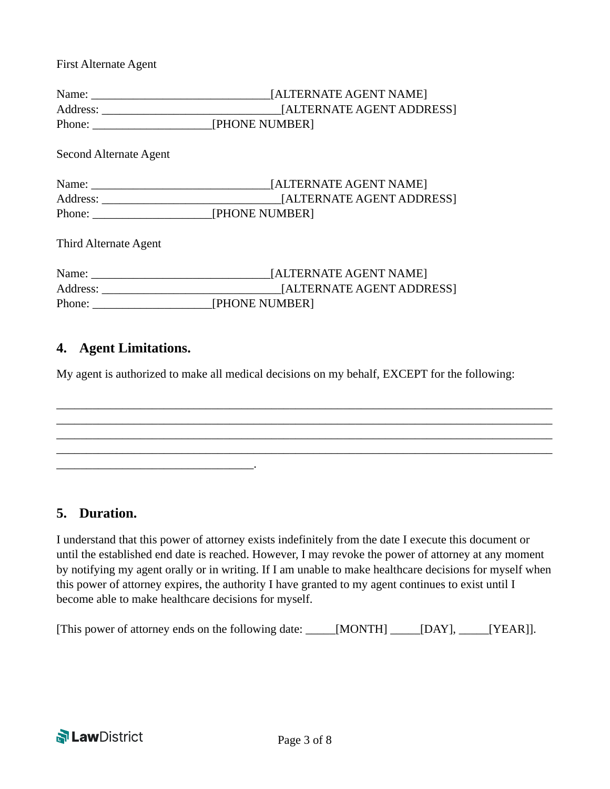First Alternate Agent

|                               | [ALTERNATE AGENT NAME] |
|-------------------------------|------------------------|
|                               |                        |
|                               |                        |
| <b>Second Alternate Agent</b> |                        |
|                               |                        |
|                               |                        |
|                               |                        |
| Third Alternate Agent         |                        |
|                               |                        |
|                               |                        |
| Phone: <u>[PHONE NUMBER]</u>  |                        |
|                               |                        |

### **4. Agent Limitations.**

\_\_\_\_\_\_\_\_\_\_\_\_\_\_\_\_\_\_\_\_\_\_\_\_\_\_\_\_\_\_\_\_\_.

My agent is authorized to make all medical decisions on my behalf, EXCEPT for the following:

\_\_\_\_\_\_\_\_\_\_\_\_\_\_\_\_\_\_\_\_\_\_\_\_\_\_\_\_\_\_\_\_\_\_\_\_\_\_\_\_\_\_\_\_\_\_\_\_\_\_\_\_\_\_\_\_\_\_\_\_\_\_\_\_\_\_\_\_\_\_\_\_\_\_\_\_\_\_\_\_\_\_\_ \_\_\_\_\_\_\_\_\_\_\_\_\_\_\_\_\_\_\_\_\_\_\_\_\_\_\_\_\_\_\_\_\_\_\_\_\_\_\_\_\_\_\_\_\_\_\_\_\_\_\_\_\_\_\_\_\_\_\_\_\_\_\_\_\_\_\_\_\_\_\_\_\_\_\_\_\_\_\_\_\_\_\_ \_\_\_\_\_\_\_\_\_\_\_\_\_\_\_\_\_\_\_\_\_\_\_\_\_\_\_\_\_\_\_\_\_\_\_\_\_\_\_\_\_\_\_\_\_\_\_\_\_\_\_\_\_\_\_\_\_\_\_\_\_\_\_\_\_\_\_\_\_\_\_\_\_\_\_\_\_\_\_\_\_\_\_ \_\_\_\_\_\_\_\_\_\_\_\_\_\_\_\_\_\_\_\_\_\_\_\_\_\_\_\_\_\_\_\_\_\_\_\_\_\_\_\_\_\_\_\_\_\_\_\_\_\_\_\_\_\_\_\_\_\_\_\_\_\_\_\_\_\_\_\_\_\_\_\_\_\_\_\_\_\_\_\_\_\_\_

#### **5. Duration.**

I understand that this power of attorney exists indefinitely from the date I execute this document or until the established end date is reached. However, I may revoke the power of attorney at any moment by notifying my agent orally or in writing. If I am unable to make healthcare decisions for myself when this power of attorney expires, the authority I have granted to my agent continues to exist until I become able to make healthcare decisions for myself.

|  |  |  | [This power of attorney ends on the following date: | _____[MONTH] |  | $\boxed{\quad}$ [DAY], $\boxed{\quad}$ [YEAR]]. |
|--|--|--|-----------------------------------------------------|--------------|--|-------------------------------------------------|
|--|--|--|-----------------------------------------------------|--------------|--|-------------------------------------------------|

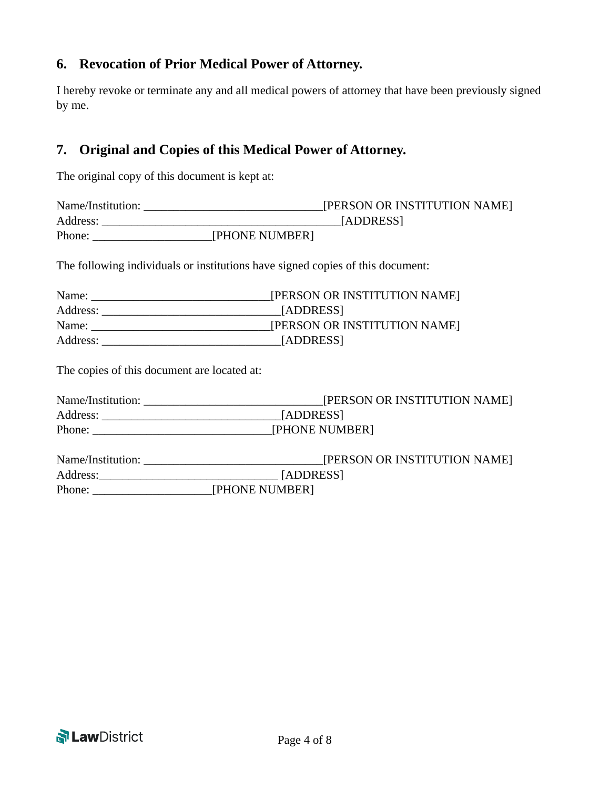## **6. Revocation of Prior Medical Power of Attorney.**

I hereby revoke or terminate any and all medical powers of attorney that have been previously signed by me.

## **7. Original and Copies of this Medical Power of Attorney.**

The original copy of this document is kept at:

| Name/Institution: | [PERSON OR INSTITUTION NAME] |
|-------------------|------------------------------|
| Address:          | [ADDRESS]                    |
| Phone:            | [PHONE NUMBER]               |

The following individuals or institutions have signed copies of this document:

| Name:    | [PERSON OR INSTITUTION NAME] |
|----------|------------------------------|
| Address: | [ADDRESS]                    |
| Name:    | [PERSON OR INSTITUTION NAME] |
| Address: | [ADDRESS]                    |

The copies of this document are located at:

| [ADDRESS]                                                                                                                                                                                                                      |
|--------------------------------------------------------------------------------------------------------------------------------------------------------------------------------------------------------------------------------|
| Phone: Phone: Phone Phone Phone Phone Phone Phone Phone Phone Phone Phone Phone Phone Phone Phone Phone Phone Phone Phone Phone Phone Phone Phone Phone Phone Phone Phone Phone Phone Phone Phone Phone Phone Phone Phone Phon |
|                                                                                                                                                                                                                                |
|                                                                                                                                                                                                                                |
| Address: [ADDRESS]                                                                                                                                                                                                             |
| Phone: [PHONE NUMBER]                                                                                                                                                                                                          |

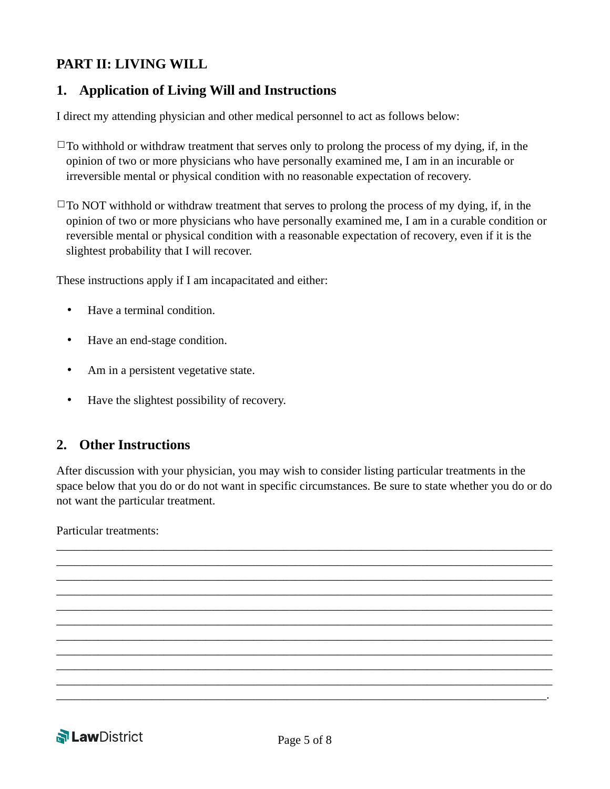# **PART II: LIVING WILL**

## **1. Application of Living Will and Instructions**

I direct my attending physician and other medical personnel to act as follows below:

- $\Box$ To withhold or withdraw treatment that serves only to prolong the process of my dying, if, in the opinion of two or more physicians who have personally examined me, I am in an incurable or irreversible mental or physical condition with no reasonable expectation of recovery.
- $\square$ To NOT withhold or withdraw treatment that serves to prolong the process of my dying, if, in the opinion of two or more physicians who have personally examined me, I am in a curable condition or reversible mental or physical condition with a reasonable expectation of recovery, even if it is the slightest probability that I will recover.

These instructions apply if I am incapacitated and either:

- Have a terminal condition.
- Have an end-stage condition.
- Am in a persistent vegetative state.
- Have the slightest possibility of recovery.

#### **2. Other Instructions**

After discussion with your physician, you may wish to consider listing particular treatments in the space below that you do or do not want in specific circumstances. Be sure to state whether you do or do not want the particular treatment.

\_\_\_\_\_\_\_\_\_\_\_\_\_\_\_\_\_\_\_\_\_\_\_\_\_\_\_\_\_\_\_\_\_\_\_\_\_\_\_\_\_\_\_\_\_\_\_\_\_\_\_\_\_\_\_\_\_\_\_\_\_\_\_\_\_\_\_\_\_\_\_\_\_\_\_\_\_\_\_\_\_\_\_ \_\_\_\_\_\_\_\_\_\_\_\_\_\_\_\_\_\_\_\_\_\_\_\_\_\_\_\_\_\_\_\_\_\_\_\_\_\_\_\_\_\_\_\_\_\_\_\_\_\_\_\_\_\_\_\_\_\_\_\_\_\_\_\_\_\_\_\_\_\_\_\_\_\_\_\_\_\_\_\_\_\_\_ \_\_\_\_\_\_\_\_\_\_\_\_\_\_\_\_\_\_\_\_\_\_\_\_\_\_\_\_\_\_\_\_\_\_\_\_\_\_\_\_\_\_\_\_\_\_\_\_\_\_\_\_\_\_\_\_\_\_\_\_\_\_\_\_\_\_\_\_\_\_\_\_\_\_\_\_\_\_\_\_\_\_\_ \_\_\_\_\_\_\_\_\_\_\_\_\_\_\_\_\_\_\_\_\_\_\_\_\_\_\_\_\_\_\_\_\_\_\_\_\_\_\_\_\_\_\_\_\_\_\_\_\_\_\_\_\_\_\_\_\_\_\_\_\_\_\_\_\_\_\_\_\_\_\_\_\_\_\_\_\_\_\_\_\_\_\_ \_\_\_\_\_\_\_\_\_\_\_\_\_\_\_\_\_\_\_\_\_\_\_\_\_\_\_\_\_\_\_\_\_\_\_\_\_\_\_\_\_\_\_\_\_\_\_\_\_\_\_\_\_\_\_\_\_\_\_\_\_\_\_\_\_\_\_\_\_\_\_\_\_\_\_\_\_\_\_\_\_\_\_ \_\_\_\_\_\_\_\_\_\_\_\_\_\_\_\_\_\_\_\_\_\_\_\_\_\_\_\_\_\_\_\_\_\_\_\_\_\_\_\_\_\_\_\_\_\_\_\_\_\_\_\_\_\_\_\_\_\_\_\_\_\_\_\_\_\_\_\_\_\_\_\_\_\_\_\_\_\_\_\_\_\_\_ \_\_\_\_\_\_\_\_\_\_\_\_\_\_\_\_\_\_\_\_\_\_\_\_\_\_\_\_\_\_\_\_\_\_\_\_\_\_\_\_\_\_\_\_\_\_\_\_\_\_\_\_\_\_\_\_\_\_\_\_\_\_\_\_\_\_\_\_\_\_\_\_\_\_\_\_\_\_\_\_\_\_\_ \_\_\_\_\_\_\_\_\_\_\_\_\_\_\_\_\_\_\_\_\_\_\_\_\_\_\_\_\_\_\_\_\_\_\_\_\_\_\_\_\_\_\_\_\_\_\_\_\_\_\_\_\_\_\_\_\_\_\_\_\_\_\_\_\_\_\_\_\_\_\_\_\_\_\_\_\_\_\_\_\_\_\_ \_\_\_\_\_\_\_\_\_\_\_\_\_\_\_\_\_\_\_\_\_\_\_\_\_\_\_\_\_\_\_\_\_\_\_\_\_\_\_\_\_\_\_\_\_\_\_\_\_\_\_\_\_\_\_\_\_\_\_\_\_\_\_\_\_\_\_\_\_\_\_\_\_\_\_\_\_\_\_\_\_\_\_ \_\_\_\_\_\_\_\_\_\_\_\_\_\_\_\_\_\_\_\_\_\_\_\_\_\_\_\_\_\_\_\_\_\_\_\_\_\_\_\_\_\_\_\_\_\_\_\_\_\_\_\_\_\_\_\_\_\_\_\_\_\_\_\_\_\_\_\_\_\_\_\_\_\_\_\_\_\_\_\_\_\_\_ \_\_\_\_\_\_\_\_\_\_\_\_\_\_\_\_\_\_\_\_\_\_\_\_\_\_\_\_\_\_\_\_\_\_\_\_\_\_\_\_\_\_\_\_\_\_\_\_\_\_\_\_\_\_\_\_\_\_\_\_\_\_\_\_\_\_\_\_\_\_\_\_\_\_\_\_\_\_\_\_\_\_.

Particular treatments:

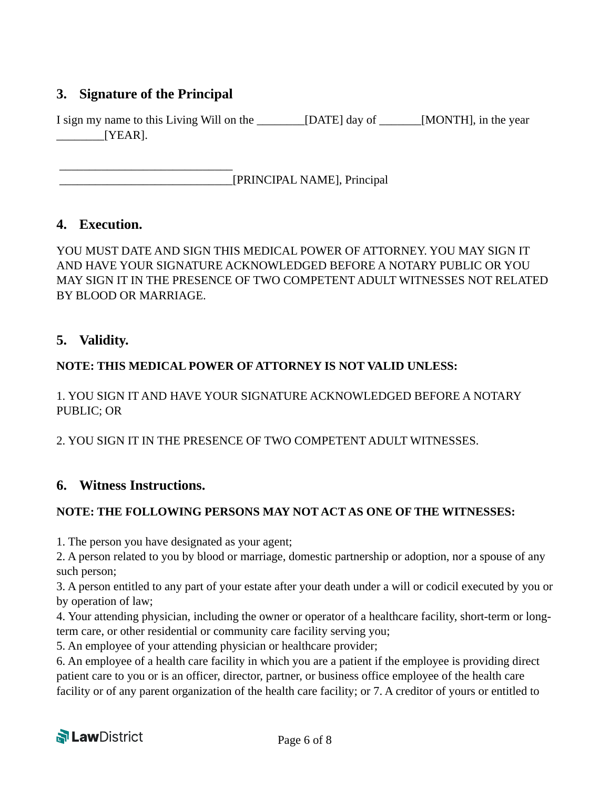# **3. Signature of the Principal**

\_\_\_\_\_\_\_\_\_\_\_\_\_\_\_\_\_\_\_\_\_\_\_\_\_\_\_\_\_

I sign my name to this Living Will on the \_\_\_\_\_\_\_\_[DATE] day of \_\_\_\_\_\_\_[MONTH], in the year \_\_\_\_\_\_\_\_[YEAR].

\_\_\_\_\_\_\_\_\_\_\_\_\_\_\_\_\_\_\_\_\_\_\_\_\_\_\_\_\_[PRINCIPAL NAME], Principal

#### **4. Execution.**

YOU MUST DATE AND SIGN THIS MEDICAL POWER OF ATTORNEY. YOU MAY SIGN IT AND HAVE YOUR SIGNATURE ACKNOWLEDGED BEFORE A NOTARY PUBLIC OR YOU MAY SIGN IT IN THE PRESENCE OF TWO COMPETENT ADULT WITNESSES NOT RELATED BY BLOOD OR MARRIAGE.

## **5. Validity.**

#### **NOTE: THIS MEDICAL POWER OF ATTORNEY IS NOT VALID UNLESS:**

1. YOU SIGN IT AND HAVE YOUR SIGNATURE ACKNOWLEDGED BEFORE A NOTARY PUBLIC; OR

2. YOU SIGN IT IN THE PRESENCE OF TWO COMPETENT ADULT WITNESSES.

#### **6. Witness Instructions.**

#### **NOTE: THE FOLLOWING PERSONS MAY NOT ACT AS ONE OF THE WITNESSES:**

1. The person you have designated as your agent;

2. A person related to you by blood or marriage, domestic partnership or adoption, nor a spouse of any such person;

3. A person entitled to any part of your estate after your death under a will or codicil executed by you or by operation of law;

4. Your attending physician, including the owner or operator of a healthcare facility, short-term or longterm care, or other residential or community care facility serving you;

5. An employee of your attending physician or healthcare provider;

6. An employee of a health care facility in which you are a patient if the employee is providing direct patient care to you or is an officer, director, partner, or business office employee of the health care facility or of any parent organization of the health care facility; or 7. A creditor of yours or entitled to

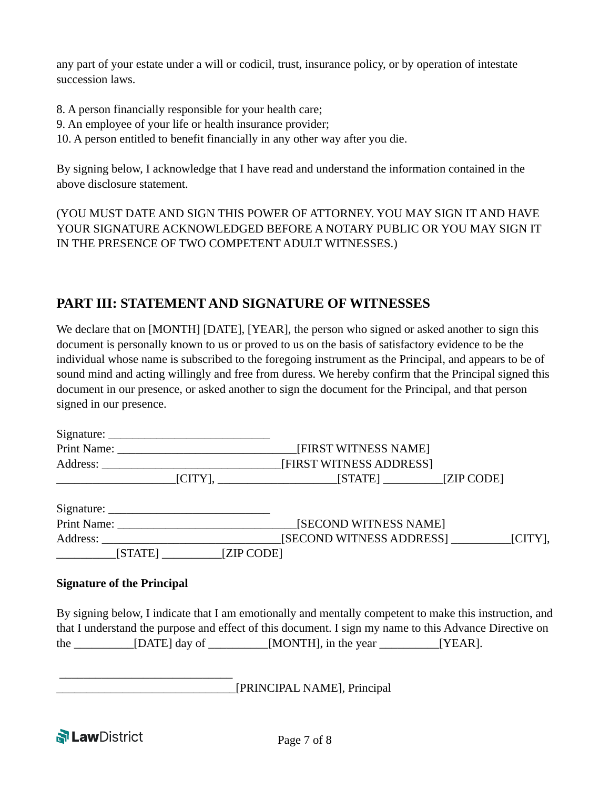any part of your estate under a will or codicil, trust, insurance policy, or by operation of intestate succession laws.

- 8. A person financially responsible for your health care;
- 9. An employee of your life or health insurance provider;
- 10. A person entitled to benefit financially in any other way after you die.

By signing below, I acknowledge that I have read and understand the information contained in the above disclosure statement.

(YOU MUST DATE AND SIGN THIS POWER OF ATTORNEY. YOU MAY SIGN IT AND HAVE YOUR SIGNATURE ACKNOWLEDGED BEFORE A NOTARY PUBLIC OR YOU MAY SIGN IT IN THE PRESENCE OF TWO COMPETENT ADULT WITNESSES.)

# **PART III: STATEMENT AND SIGNATURE OF WITNESSES**

We declare that on [MONTH] [DATE], [YEAR], the person who signed or asked another to sign this document is personally known to us or proved to us on the basis of satisfactory evidence to be the individual whose name is subscribed to the foregoing instrument as the Principal, and appears to be of sound mind and acting willingly and free from duress. We hereby confirm that the Principal signed this document in our presence, or asked another to sign the document for the Principal, and that person signed in our presence.

|                                         | [FIRST WITNESS NAME]     |                                                                                                             |
|-----------------------------------------|--------------------------|-------------------------------------------------------------------------------------------------------------|
|                                         | [FIRST WITNESS ADDRESS]  |                                                                                                             |
| <u> 1989 - Johann Barbara, martin a</u> |                          |                                                                                                             |
|                                         |                          |                                                                                                             |
|                                         | [SECOND WITNESS NAME]    |                                                                                                             |
|                                         | [SECOND WITNESS ADDRESS] | $\lfloor$ CITY],                                                                                            |
|                                         |                          |                                                                                                             |
|                                         |                          | Print Name:<br>$\begin{bmatrix} \text{STATE} \end{bmatrix}$ $\begin{bmatrix} \text{ZIP CODE} \end{bmatrix}$ |

#### **Signature of the Principal**

\_\_\_\_\_\_\_\_\_\_\_\_\_\_\_\_\_\_\_\_\_\_\_\_\_\_\_\_\_

By signing below, I indicate that I am emotionally and mentally competent to make this instruction, and that I understand the purpose and effect of this document. I sign my name to this Advance Directive on the  $\text{max}$  [DATE] day of  $\text{max}$  [MONTH], in the year  $\text{max}$  [YEAR].

\_\_\_\_\_\_\_\_\_\_\_\_\_\_\_\_\_\_\_\_\_\_\_\_\_\_\_\_\_\_[PRINCIPAL NAME], Principal